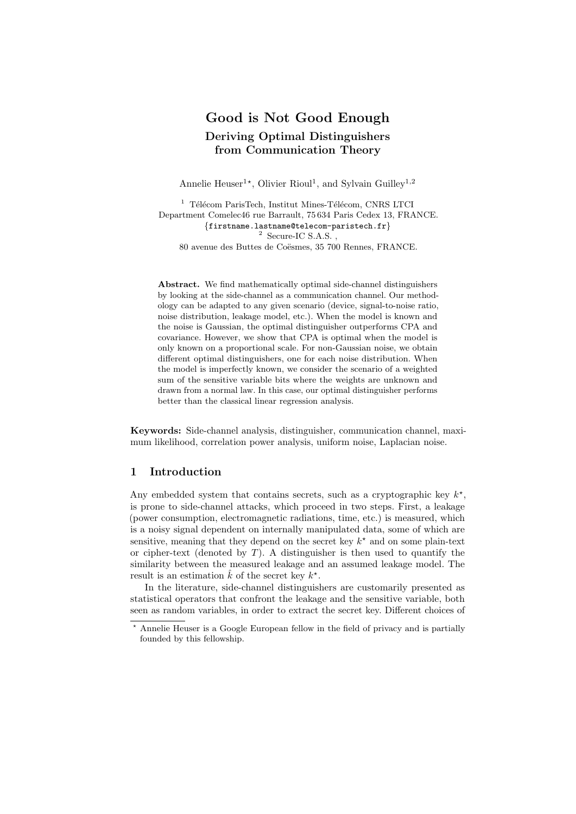# Good is Not Good Enough Deriving Optimal Distinguishers from Communication Theory

Annelie Heuser<sup>1\*</sup>, Olivier Rioul<sup>1</sup>, and Sylvain Guilley<sup>1,2</sup>

 $^{\rm 1}$  Télécom ParisTech, Institut Mines-Télécom, CNRS LTCI Department Comelec46 rue Barrault, 75 634 Paris Cedex 13, FRANCE. {firstname.lastname@telecom-paristech.fr} <sup>2</sup> Secure-IC S.A.S. , 80 avenue des Buttes de Coësmes, 35 700 Rennes, FRANCE.

Abstract. We find mathematically optimal side-channel distinguishers by looking at the side-channel as a communication channel. Our methodology can be adapted to any given scenario (device, signal-to-noise ratio, noise distribution, leakage model, etc.). When the model is known and the noise is Gaussian, the optimal distinguisher outperforms CPA and covariance. However, we show that CPA is optimal when the model is only known on a proportional scale. For non-Gaussian noise, we obtain different optimal distinguishers, one for each noise distribution. When the model is imperfectly known, we consider the scenario of a weighted sum of the sensitive variable bits where the weights are unknown and drawn from a normal law. In this case, our optimal distinguisher performs better than the classical linear regression analysis.

Keywords: Side-channel analysis, distinguisher, communication channel, maximum likelihood, correlation power analysis, uniform noise, Laplacian noise.

# 1 Introduction

Any embedded system that contains secrets, such as a cryptographic key  $k^*$ , is prone to side-channel attacks, which proceed in two steps. First, a leakage (power consumption, electromagnetic radiations, time, etc.) is measured, which is a noisy signal dependent on internally manipulated data, some of which are sensitive, meaning that they depend on the secret key  $k^*$  and on some plain-text or cipher-text (denoted by  $T$ ). A distinguisher is then used to quantify the similarity between the measured leakage and an assumed leakage model. The result is an estimation  $\hat{k}$  of the secret key  $k^*$ .

In the literature, side-channel distinguishers are customarily presented as statistical operators that confront the leakage and the sensitive variable, both seen as random variables, in order to extract the secret key. Different choices of

<sup>?</sup> Annelie Heuser is a Google European fellow in the field of privacy and is partially founded by this fellowship.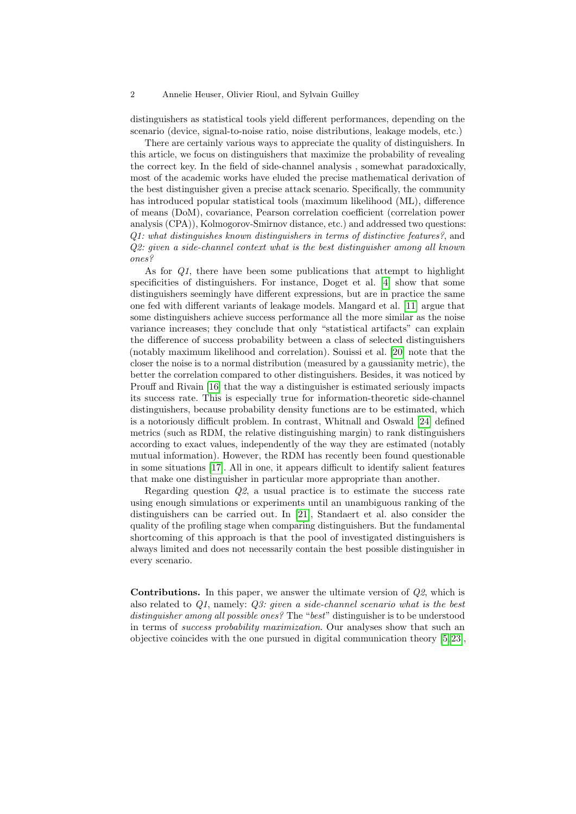distinguishers as statistical tools yield different performances, depending on the scenario (device, signal-to-noise ratio, noise distributions, leakage models, etc.)

There are certainly various ways to appreciate the quality of distinguishers. In this article, we focus on distinguishers that maximize the probability of revealing the correct key. In the field of side-channel analysis , somewhat paradoxically, most of the academic works have eluded the precise mathematical derivation of the best distinguisher given a precise attack scenario. Specifically, the community has introduced popular statistical tools (maximum likelihood (ML), difference of means (DoM), covariance, Pearson correlation coefficient (correlation power analysis (CPA)), Kolmogorov-Smirnov distance, etc.) and addressed two questions: Q1: what distinguishes known distinguishers in terms of distinctive features?, and Q2: given a side-channel context what is the best distinguisher among all known ones?

As for Q1, there have been some publications that attempt to highlight specificities of distinguishers. For instance, Doget et al. [\[4\]](#page-16-0) show that some distinguishers seemingly have different expressions, but are in practice the same one fed with different variants of leakage models. Mangard et al. [\[11\]](#page-17-0) argue that some distinguishers achieve success performance all the more similar as the noise variance increases; they conclude that only "statistical artifacts" can explain the difference of success probability between a class of selected distinguishers (notably maximum likelihood and correlation). Souissi et al. [\[20\]](#page-17-1) note that the closer the noise is to a normal distribution (measured by a gaussianity metric), the better the correlation compared to other distinguishers. Besides, it was noticed by Prouff and Rivain [\[16\]](#page-17-2) that the way a distinguisher is estimated seriously impacts its success rate. This is especially true for information-theoretic side-channel distinguishers, because probability density functions are to be estimated, which is a notoriously difficult problem. In contrast, Whitnall and Oswald [\[24\]](#page-18-0) defined metrics (such as RDM, the relative distinguishing margin) to rank distinguishers according to exact values, independently of the way they are estimated (notably mutual information). However, the RDM has recently been found questionable in some situations [\[17\]](#page-17-3). All in one, it appears difficult to identify salient features that make one distinguisher in particular more appropriate than another.

Regarding question  $Q\mathcal{Z}$ , a usual practice is to estimate the success rate using enough simulations or experiments until an unambiguous ranking of the distinguishers can be carried out. In [\[21\]](#page-17-4), Standaert et al. also consider the quality of the profiling stage when comparing distinguishers. But the fundamental shortcoming of this approach is that the pool of investigated distinguishers is always limited and does not necessarily contain the best possible distinguisher in every scenario.

**Contributions.** In this paper, we answer the ultimate version of  $Q\mathcal{Q}$ , which is also related to  $Q_1$ , namely:  $Q_2$ : given a side-channel scenario what is the best distinguisher among all possible ones? The "best" distinguisher is to be understood in terms of success probability maximization. Our analyses show that such an objective coincides with the one pursued in digital communication theory [\[5,](#page-16-1) [23\]](#page-18-1),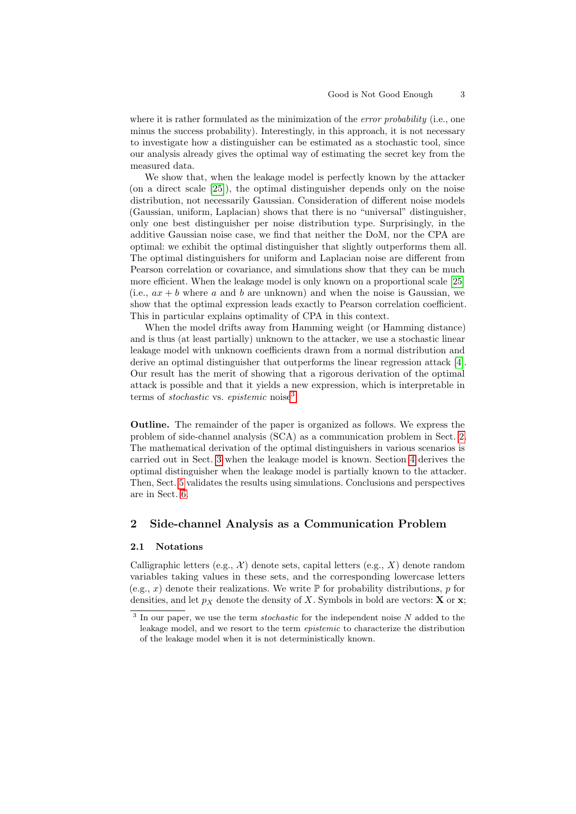where it is rather formulated as the minimization of the *error probability* (i.e., one minus the success probability). Interestingly, in this approach, it is not necessary to investigate how a distinguisher can be estimated as a stochastic tool, since our analysis already gives the optimal way of estimating the secret key from the measured data.

We show that, when the leakage model is perfectly known by the attacker (on a direct scale [\[25\]](#page-18-2)), the optimal distinguisher depends only on the noise distribution, not necessarily Gaussian. Consideration of different noise models (Gaussian, uniform, Laplacian) shows that there is no "universal" distinguisher, only one best distinguisher per noise distribution type. Surprisingly, in the additive Gaussian noise case, we find that neither the DoM, nor the CPA are optimal: we exhibit the optimal distinguisher that slightly outperforms them all. The optimal distinguishers for uniform and Laplacian noise are different from Pearson correlation or covariance, and simulations show that they can be much more efficient. When the leakage model is only known on a proportional scale [\[25\]](#page-18-2) (i.e.,  $ax + b$  where a and b are unknown) and when the noise is Gaussian, we show that the optimal expression leads exactly to Pearson correlation coefficient. This in particular explains optimality of CPA in this context.

When the model drifts away from Hamming weight (or Hamming distance) and is thus (at least partially) unknown to the attacker, we use a stochastic linear leakage model with unknown coefficients drawn from a normal distribution and derive an optimal distinguisher that outperforms the linear regression attack [\[4\]](#page-16-0). Our result has the merit of showing that a rigorous derivation of the optimal attack is possible and that it yields a new expression, which is interpretable in terms of *stochastic* vs. *epistemic* noise<sup>[3](#page-2-0)</sup>.

Outline. The remainder of the paper is organized as follows. We express the problem of side-channel analysis (SCA) as a communication problem in Sect. [2.](#page-2-1) The mathematical derivation of the optimal distinguishers in various scenarios is carried out in Sect. [3](#page-5-0) when the leakage model is known. Section [4](#page-9-0) derives the optimal distinguisher when the leakage model is partially known to the attacker. Then, Sect. [5](#page-11-0) validates the results using simulations. Conclusions and perspectives are in Sect. [6.](#page-16-2)

# <span id="page-2-1"></span>2 Side-channel Analysis as a Communication Problem

### 2.1 Notations

Calligraphic letters (e.g.,  $\mathcal{X}$ ) denote sets, capital letters (e.g.,  $X$ ) denote random variables taking values in these sets, and the corresponding lowercase letters (e.g., x) denote their realizations. We write  $\mathbb P$  for probability distributions, p for densities, and let  $p<sub>X</sub>$  denote the density of X. Symbols in bold are vectors: **X** or **x**;

<span id="page-2-0"></span> $3$  In our paper, we use the term *stochastic* for the independent noise N added to the leakage model, and we resort to the term epistemic to characterize the distribution of the leakage model when it is not deterministically known.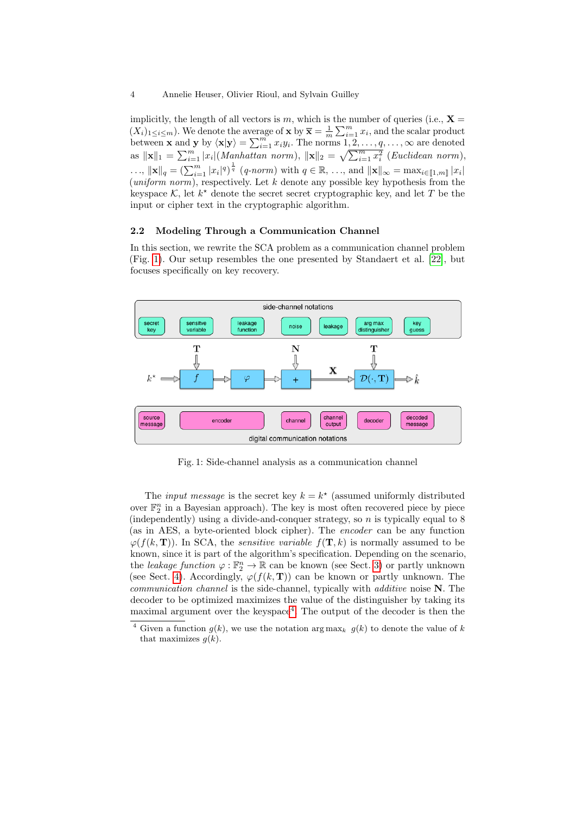implicitly, the length of all vectors is m, which is the number of queries (i.e.,  $X =$  $(X_i)_{1 \leq i \leq m}$ . We denote the average of **x** by  $\overline{\mathbf{x}} = \frac{1}{m} \sum_{i=1}^m x_i$ , and the scalar product between **x** and **y** by  $\langle \mathbf{x} | \mathbf{y} \rangle = \sum_{i=1}^{m} x_i y_i$ . The norms  $1, 2, ..., q, ..., \infty$  are denoted as  $\|\mathbf{x}\|_1 = \sum_{i=1}^m |x_i| (Manhattan norm), \|\mathbf{x}\|_2 = \sqrt{\sum_{i=1}^m x_i^2}$  (Euclidean norm),  $\ldots$ ,  $\|\mathbf{x}\|_q = \left(\sum_{i=1}^m |x_i|^q\right)^{\frac{1}{q}} (q\text{-norm})$  with  $q \in \mathbb{R}, \ldots$ , and  $\|\mathbf{x}\|_{\infty} = \max_{i \in [1,m]} |x_i|$  $(uniform\ norm)$ , respectively. Let k denote any possible key hypothesis from the keyspace  $K$ , let  $k^*$  denote the secret secret cryptographic key, and let T be the input or cipher text in the cryptographic algorithm.

### <span id="page-3-2"></span>2.2 Modeling Through a Communication Channel

In this section, we rewrite the SCA problem as a communication channel problem (Fig. [1\)](#page-3-0). Our setup resembles the one presented by Standaert et al. [\[22\]](#page-18-3), but focuses specifically on key recovery.

<span id="page-3-0"></span>

Fig. 1: Side-channel analysis as a communication channel

The *input message* is the secret key  $k = k^*$  (assumed uniformly distributed over  $\mathbb{F}_2^n$  in a Bayesian approach). The key is most often recovered piece by piece (independently) using a divide-and-conquer strategy, so  $n$  is typically equal to 8 (as in AES, a byte-oriented block cipher). The encoder can be any function  $\varphi(f(k, T))$ . In SCA, the *sensitive variable*  $f(T, k)$  is normally assumed to be known, since it is part of the algorithm's specification. Depending on the scenario, the leakage function  $\varphi : \mathbb{F}_2^n \to \mathbb{R}$  can be known (see Sect. [3\)](#page-5-0) or partly unknown (see Sect. [4\)](#page-9-0). Accordingly,  $\varphi(f(k, T))$  can be known or partly unknown. The *communication channel* is the side-channel, typically with *additive* noise  $N$ . The decoder to be optimized maximizes the value of the distinguisher by taking its maximal argument over the keyspace<sup>[4](#page-3-1)</sup>. The output of the decoder is then the

<span id="page-3-1"></span><sup>&</sup>lt;sup>4</sup> Given a function  $g(k)$ , we use the notation  $\arg \max_k g(k)$  to denote the value of k that maximizes  $g(k)$ .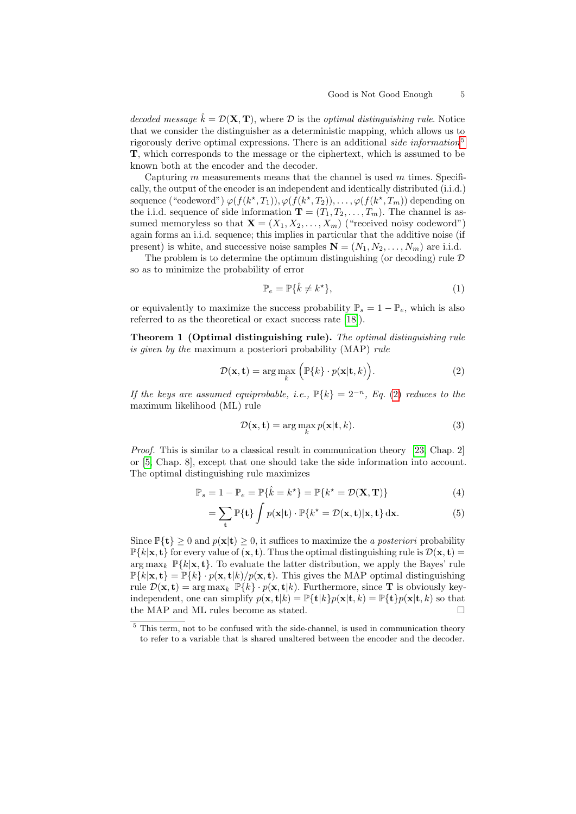decoded message  $\hat{k} = \mathcal{D}(\mathbf{X}, \mathbf{T})$ , where  $\mathcal{D}$  is the optimal distinguishing rule. Notice that we consider the distinguisher as a deterministic mapping, which allows us to rigorously derive optimal expressions. There is an additional *side information*<sup>[5](#page-4-0)</sup> T, which corresponds to the message or the ciphertext, which is assumed to be known both at the encoder and the decoder.

Capturing  $m$  measurements means that the channel is used  $m$  times. Specifically, the output of the encoder is an independent and identically distributed (i.i.d.) sequence ("codeword")  $\varphi(f(k^*, T_1)), \varphi(f(k^*, T_2)), \ldots, \varphi(f(k^*, T_m))$  depending on the i.i.d. sequence of side information  $\mathbf{T} = (T_1, T_2, \dots, T_m)$ . The channel is assumed memoryless so that  $\mathbf{X} = (X_1, X_2, \dots, X_m)$  ("received noisy codeword") again forms an i.i.d. sequence; this implies in particular that the additive noise (if present) is white, and successive noise samples  $N = (N_1, N_2, \ldots, N_m)$  are i.i.d.

The problem is to determine the optimum distinguishing (or decoding) rule  $\mathcal D$ so as to minimize the probability of error

<span id="page-4-1"></span>
$$
\mathbb{P}_e = \mathbb{P}\{\hat{k} \neq k^\star\},\tag{1}
$$

or equivalently to maximize the success probability  $\mathbb{P}_s = 1 - \mathbb{P}_e$ , which is also referred to as the theoretical or exact success rate [\[18\]](#page-17-5)).

<span id="page-4-3"></span>Theorem 1 (Optimal distinguishing rule). The optimal distinguishing rule is given by the maximum a posteriori probability (MAP) rule

$$
\mathcal{D}(\mathbf{x}, \mathbf{t}) = \arg \max_{k} \left( \mathbb{P}\{k\} \cdot p(\mathbf{x}|\mathbf{t}, k) \right). \tag{2}
$$

If the keys are assumed equiprobable, i.e.,  $\mathbb{P}\{k\} = 2^{-n}$ , Eq. [\(2\)](#page-4-1) reduces to the maximum likelihood (ML) rule

<span id="page-4-2"></span>
$$
\mathcal{D}(\mathbf{x}, \mathbf{t}) = \arg \max_{k} p(\mathbf{x}|\mathbf{t}, k).
$$
 (3)

Proof. This is similar to a classical result in communication theory [\[23,](#page-18-1) Chap. 2] or [\[5,](#page-16-1) Chap. 8], except that one should take the side information into account. The optimal distinguishing rule maximizes

$$
\mathbb{P}_s = 1 - \mathbb{P}_e = \mathbb{P}\{\hat{k} = k^{\star}\} = \mathbb{P}\{k^{\star} = \mathcal{D}(\mathbf{X}, \mathbf{T})\}
$$
(4)

$$
= \sum_{\mathbf{t}} \mathbb{P}\{\mathbf{t}\} \int p(\mathbf{x}|\mathbf{t}) \cdot \mathbb{P}\{k^* = \mathcal{D}(\mathbf{x}, \mathbf{t}) | \mathbf{x}, \mathbf{t}\} \, \mathrm{d}\mathbf{x}.\tag{5}
$$

Since  $\mathbb{P}\{\mathbf{t}\}\geq 0$  and  $p(\mathbf{x}|\mathbf{t})\geq 0$ , it suffices to maximize the *a posteriori* probability  $\mathbb{P}\{k|\mathbf{x}, \mathbf{t}\}$  for every value of  $(\mathbf{x}, \mathbf{t})$ . Thus the optimal distinguishing rule is  $\mathcal{D}(\mathbf{x}, \mathbf{t}) =$ arg max<sub>k</sub>  $\mathbb{P}\{k|\mathbf{x},\mathbf{t}\}$ . To evaluate the latter distribution, we apply the Bayes' rule  $\mathbb{P}\{k|\mathbf{x},\mathbf{t}\} = \mathbb{P}\{k\} \cdot p(\mathbf{x}, \mathbf{t}|k)/p(\mathbf{x}, \mathbf{t})$ . This gives the MAP optimal distinguishing rule  $\mathcal{D}(\mathbf{x}, \mathbf{t}) = \arg \max_k \ \mathbb{P}\{k\} \cdot p(\mathbf{x}, \mathbf{t}|k)$ . Furthermore, since **T** is obviously keyindependent, one can simplify  $p(\mathbf{x}, \mathbf{t}|k) = \mathbb{P}\{\mathbf{t}|k\}p(\mathbf{x}|\mathbf{t}, k) = \mathbb{P}\{\mathbf{t}\}p(\mathbf{x}|\mathbf{t}, k)$  so that the MAP and ML rules become as stated.  $\square$ 

<span id="page-4-0"></span><sup>&</sup>lt;sup>5</sup> This term, not to be confused with the side-channel, is used in communication theory to refer to a variable that is shared unaltered between the encoder and the decoder.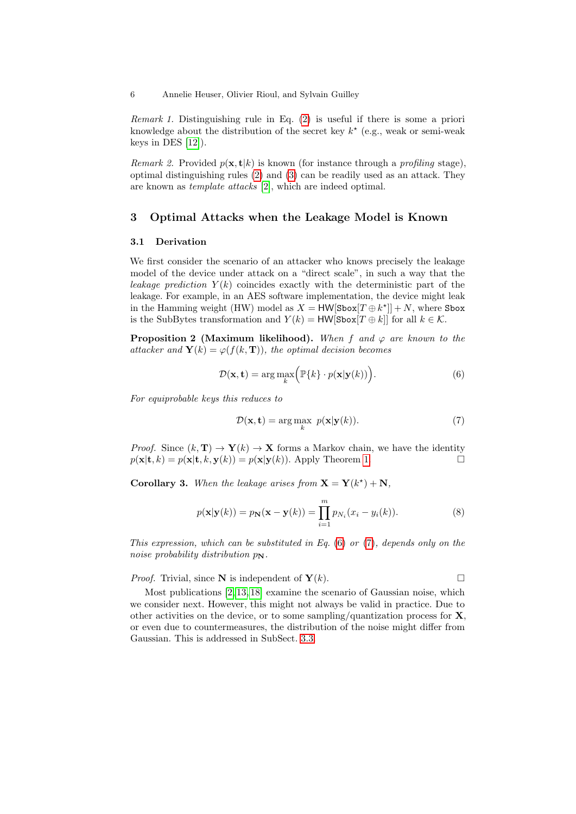Remark 1. Distinguishing rule in Eq. [\(2\)](#page-4-1) is useful if there is some a priori knowledge about the distribution of the secret key  $k^*$  (e.g., weak or semi-weak keys in DES [\[12\]](#page-17-6)).

<span id="page-5-4"></span>Remark 2. Provided  $p(x, t|k)$  is known (for instance through a *profiling* stage), optimal distinguishing rules [\(2\)](#page-4-1) and [\(3\)](#page-4-2) can be readily used as an attack. They are known as template attacks [\[2\]](#page-16-3), which are indeed optimal.

# <span id="page-5-0"></span>3 Optimal Attacks when the Leakage Model is Known

#### 3.1 Derivation

We first consider the scenario of an attacker who knows precisely the leakage model of the device under attack on a "direct scale", in such a way that the leakage prediction  $Y(k)$  coincides exactly with the deterministic part of the leakage. For example, in an AES software implementation, the device might leak in the Hamming weight (HW) model as  $X = HW[\text{Sbox}[T \oplus k^{\star}]] + N$ , where Sbox is the SubBytes transformation and  $Y(k) = HW[Sbox[T \oplus k]]$  for all  $k \in \mathcal{K}$ .

**Proposition 2** (Maximum likelihood). When f and  $\varphi$  are known to the attacker and  $\mathbf{Y}(k) = \varphi(f(k, \mathbf{T}))$ , the optimal decision becomes

$$
\mathcal{D}(\mathbf{x}, \mathbf{t}) = \arg \max_{k} \Big( \mathbb{P}\{k\} \cdot p(\mathbf{x}|\mathbf{y}(k)) \Big). \tag{6}
$$

For equiprobable keys this reduces to

<span id="page-5-2"></span><span id="page-5-1"></span>
$$
\mathcal{D}(\mathbf{x}, \mathbf{t}) = \arg \max_{k} \ p(\mathbf{x}|\mathbf{y}(k)). \tag{7}
$$

*Proof.* Since  $(k, T) \rightarrow Y(k) \rightarrow X$  forms a Markov chain, we have the identity  $p(\mathbf{x}|\mathbf{t}, k) = p(\mathbf{x}|\mathbf{t}, k, \mathbf{y}(k)) = p(\mathbf{x}|\mathbf{y}(k)).$  Apply Theorem [1.](#page-4-3)

<span id="page-5-3"></span>**Corollary 3.** When the leakage arises from  $\mathbf{X} = \mathbf{Y}(k^*) + \mathbf{N}$ ,

$$
p(\mathbf{x}|\mathbf{y}(k)) = p_{\mathbf{N}}(\mathbf{x} - \mathbf{y}(k)) = \prod_{i=1}^{m} p_{N_i}(x_i - y_i(k)).
$$
\n(8)

This expression, which can be substituted in Eq. [\(6\)](#page-5-1) or [\(7\)](#page-5-2), depends only on the noise probability distribution  $p_N$ .

*Proof.* Trivial, since **N** is independent of 
$$
\mathbf{Y}(k)
$$
.

Most publications [\[2,](#page-16-3) [13,](#page-17-7) [18\]](#page-17-5) examine the scenario of Gaussian noise, which we consider next. However, this might not always be valid in practice. Due to other activities on the device, or to some sampling/quantization process for  $X$ , or even due to countermeasures, the distribution of the noise might differ from Gaussian. This is addressed in SubSect. [3.3.](#page-7-0)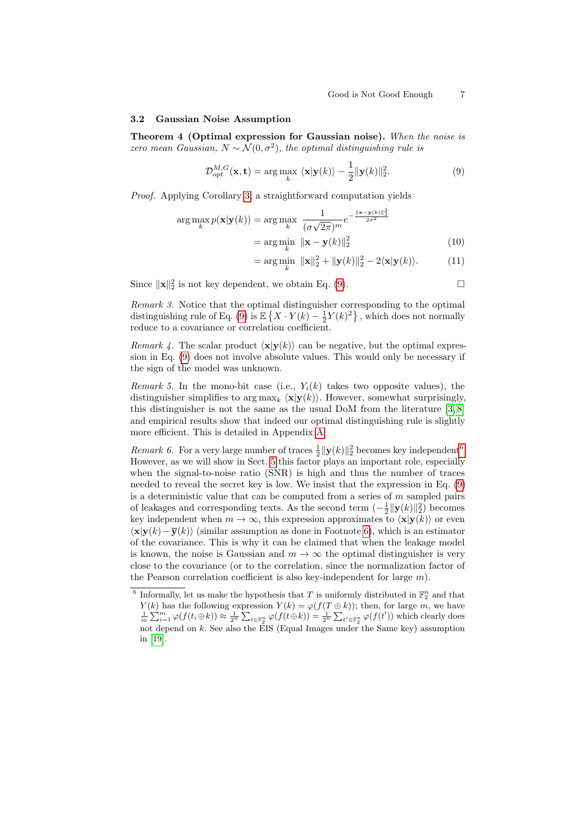#### <span id="page-6-4"></span>3.2 Gaussian Noise Assumption

Theorem 4 (Optimal expression for Gaussian noise). When the noise is zero mean Gaussian,  $N \sim \mathcal{N}(0, \sigma^2)$ , the optimal distinguishing rule is

$$
\mathcal{D}_{opt}^{M,G}(\mathbf{x}, \mathbf{t}) = \arg \max_{k} \ \langle \mathbf{x} | \mathbf{y}(k) \rangle - \frac{1}{2} \| \mathbf{y}(k) \|_{2}^{2}.
$$
 (9)

Proof. Applying Corollary [3,](#page-5-3) a straightforward computation yields

$$
\arg\max_{k} p(\mathbf{x}|\mathbf{y}(k)) = \arg\max_{k} \frac{1}{(\sigma\sqrt{2\pi})^m} e^{-\frac{\|\mathbf{x} - \mathbf{y}(k)\|_2^2}{2\sigma^2}} = \arg\min_{k} \|\mathbf{x} - \mathbf{y}(k)\|_2^2
$$
\n(10)

<span id="page-6-3"></span><span id="page-6-0"></span>
$$
= \arg\min_{k} \|\mathbf{x}\|_{2}^{2} + \|\mathbf{y}(k)\|_{2}^{2} - 2\langle \mathbf{x}|\mathbf{y}(k)\rangle.
$$
 (11)

Since  $\|\mathbf{x}\|_2^2$  is not key dependent, we obtain Eq. [\(9\)](#page-6-0).

Remark 3. Notice that the optimal distinguisher corresponding to the optimal distinguishing rule of Eq. [\(9\)](#page-6-0) is  $\mathbb{E} \{ X \cdot Y(k) - \frac{1}{2} Y(k)^2 \}$ , which does not normally reduce to a covariance or correlation coefficient.

Remark 4. The scalar product  $\langle \mathbf{x} | \mathbf{y}(k) \rangle$  can be negative, but the optimal expression in Eq. [\(9\)](#page-6-0) does not involve absolute values. This would only be necessary if the sign of the model was unknown.

Remark 5. In the mono-bit case (i.e.,  $Y_i(k)$  takes two opposite values), the distinguisher simplifies to  $\arg \max_k \langle \mathbf{x} | \mathbf{y}(k) \rangle$ . However, somewhat surprisingly, this distinguisher is not the same as the usual DoM from the literature  $[3, 8]$  $[3, 8]$ and empirical results show that indeed our optimal distinguishing rule is slightly more efficient. This is detailed in Appendix [A.](#page-18-4)

<span id="page-6-2"></span>Remark [6](#page-6-1). For a very large number of traces  $\frac{1}{2} ||\mathbf{y}(k)||_2^2$  becomes key independent<sup>6</sup>. However, as we will show in Sect. [5](#page-11-0) this factor plays an important role, especially when the signal-to-noise ratio (SNR) is high and thus the number of traces needed to reveal the secret key is low. We insist that the expression in Eq. [\(9\)](#page-6-0) is a deterministic value that can be computed from a series of  $m$  sampled pairs of leakages and corresponding texts. As the second term  $\left(-\frac{1}{2} \|\mathbf{y}(k)\|_2^2\right)$  becomes key independent when  $m \to \infty$ , this expression approximates to  $\langle \mathbf{x} | \mathbf{y}(k) \rangle$  or even  $\langle x|y(k)-\overline{y}(k)\rangle$  (similar assumption as done in Footnote [6\)](#page-6-1), which is an estimator of the covariance. This is why it can be claimed that when the leakage model is known, the noise is Gaussian and  $m \to \infty$  the optimal distinguisher is very close to the covariance (or to the correlation, since the normalization factor of the Pearson correlation coefficient is also key-independent for large  $m$ ).

<span id="page-6-1"></span><sup>&</sup>lt;sup>6</sup> Informally, let us make the hypothesis that T is uniformly distributed in  $\mathbb{F}_2^n$  and that  $Y(k)$  has the following expression  $Y(k) = \varphi(f(T \oplus k))$ ; then, for large m, we have  $\frac{1}{m}\sum_{i=1}^m \varphi(f(t_i\oplus k)) \approx \frac{1}{2^n} \sum_{t\in \mathbb{F}_2^n} \varphi(f(t\oplus k)) = \frac{1}{2^n} \sum_{t'\in \mathbb{F}_2^n} \varphi(f(t'))$  which clearly does not depend on  $k$ . See also the EIS (Equal Images under the Same key) assumption in [\[19\]](#page-17-9).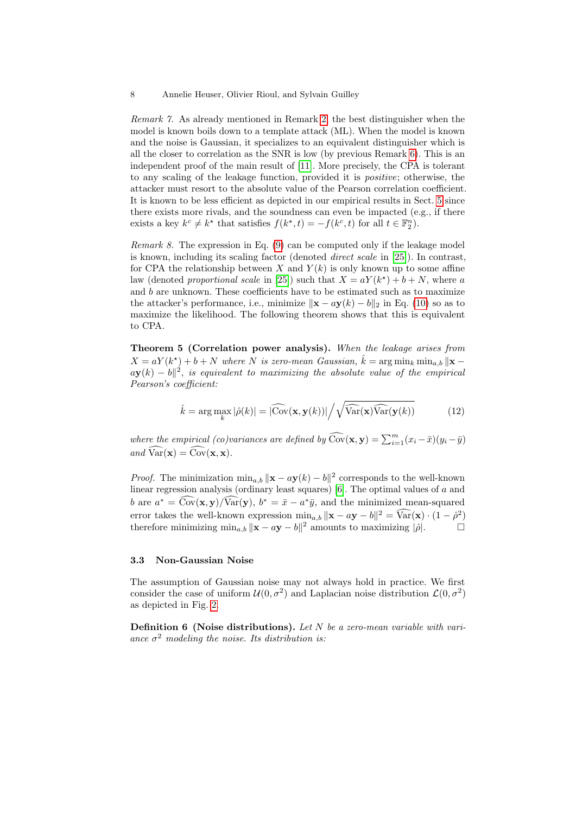Remark 7. As already mentioned in Remark [2,](#page-5-4) the best distinguisher when the model is known boils down to a template attack (ML). When the model is known and the noise is Gaussian, it specializes to an equivalent distinguisher which is all the closer to correlation as the SNR is low (by previous Remark [6\)](#page-6-2). This is an independent proof of the main result of [\[11\]](#page-17-0). More precisely, the CPA is tolerant to any scaling of the leakage function, provided it is positive; otherwise, the attacker must resort to the absolute value of the Pearson correlation coefficient. It is known to be less efficient as depicted in our empirical results in Sect. [5](#page-11-0) since there exists more rivals, and the soundness can even be impacted (e.g., if there exists a key  $k^c \neq k^*$  that satisfies  $f(k^*, t) = -f(k^c, t)$  for all  $t \in \mathbb{F}_2^n$ .

Remark 8. The expression in Eq. [\(9\)](#page-6-0) can be computed only if the leakage model is known, including its scaling factor (denoted direct scale in [\[25\]](#page-18-2)). In contrast, for CPA the relationship between X and  $Y(k)$  is only known up to some affine law (denoted proportional scale in [\[25\]](#page-18-2)) such that  $X = aY(k^*) + b + N$ , where a and b are unknown. These coefficients have to be estimated such as to maximize the attacker's performance, i.e., minimize  $\|\mathbf{x} - a\mathbf{y}(k) - b\|_2$  in Eq. [\(10\)](#page-6-3) so as to maximize the likelihood. The following theorem shows that this is equivalent to CPA.

Theorem 5 (Correlation power analysis). When the leakage arises from  $X = aY(k^*) + b + N$  where N is zero-mean Gaussian,  $\hat{k} = \arg \min_k \min_{a,b} ||\mathbf{x}$  $a\mathbf{y}(k) - b\|^2$ , is equivalent to maximizing the absolute value of the empirical Pearson's coefficient:

$$
\hat{k} = \arg \max_{k} |\hat{\rho}(k)| = |\widehat{\text{Cov}}(\mathbf{x}, \mathbf{y}(k))| / \sqrt{\widehat{\text{Var}}(\mathbf{x}) \widehat{\text{Var}}(\mathbf{y}(k))}
$$
(12)

where the empirical (co)variances are defined by  $\widehat{\text{Cov}}(\mathbf{x}, \mathbf{y}) = \sum_{i=1}^{m} (x_i - \bar{x})(y_i - \bar{y})$ and  $\widehat{\text{Var}}(\mathbf{x}) = \widehat{\text{Cov}}(\mathbf{x}, \mathbf{x}).$ 

*Proof.* The minimization  $\min_{a,b} ||\mathbf{x} - a\mathbf{y}(k) - b||^2$  corresponds to the well-known linear regression analysis (ordinary least squares) [\[6\]](#page-17-10). The optimal values of a and b are  $a^* = \widehat{\text{Cov}}(\mathbf{x}, \mathbf{y}) / \widehat{\text{Var}}(\mathbf{y}), b^* = \bar{x} - a^* \bar{y}$ , and the minimized mean-squared error takes the well-known expression  $\min_{a,b} ||\mathbf{x} - a\mathbf{y} - b||^2 = \widehat{\text{Var}}(\mathbf{x}) \cdot (1 - \hat{\rho}^2)$ therefore minimizing  $\min_{a,b} ||\mathbf{x} - a\mathbf{y} - b||^2$  amounts to maximizing  $|\hat{\rho}|$ .

#### <span id="page-7-0"></span>3.3 Non-Gaussian Noise

The assumption of Gaussian noise may not always hold in practice. We first consider the case of uniform  $\mathcal{U}(0, \sigma^2)$  and Laplacian noise distribution  $\mathcal{L}(0, \sigma^2)$ as depicted in Fig. [2.](#page-8-0)

**Definition 6 (Noise distributions).** Let  $N$  be a zero-mean variable with variance  $\sigma^2$  modeling the noise. Its distribution is: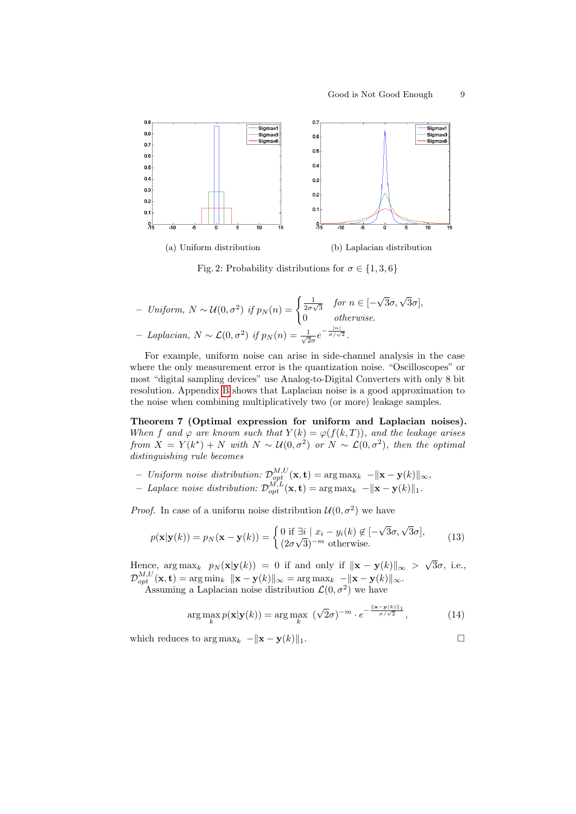<span id="page-8-0"></span>

(a) Uniform distribution (b) Laplacian distribution

Fig. 2: Probability distributions for  $\sigma \in \{1, 3, 6\}$ 

$$
- Uniform, N \sim \mathcal{U}(0, \sigma^2) \text{ if } p_N(n) = \begin{cases} \frac{1}{2\sigma\sqrt{3}} & \text{for } n \in [-\sqrt{3}\sigma, \sqrt{3}\sigma], \\ 0 & \text{otherwise.} \end{cases}
$$

$$
- Laplacian, N \sim \mathcal{L}(0, \sigma^2) \text{ if } p_N(n) = \frac{1}{\sqrt{2}\sigma} e^{-\frac{|n|}{\sigma/\sqrt{2}}}.
$$

For example, uniform noise can arise in side-channel analysis in the case where the only measurement error is the quantization noise. "Oscilloscopes" or most "digital sampling devices" use Analog-to-Digital Converters with only 8 bit resolution. Appendix [B](#page-19-0) shows that Laplacian noise is a good approximation to the noise when combining multiplicatively two (or more) leakage samples.

Theorem 7 (Optimal expression for uniform and Laplacian noises). When f and  $\varphi$  are known such that  $Y(k) = \varphi(f(k,T))$ , and the leakage arises from  $X = Y(k^*) + N$  with  $N \sim \mathcal{U}(0, \sigma^2)$  or  $N \sim \mathcal{L}(0, \sigma^2)$ , then the optimal distinguishing rule becomes

- $-$  Uniform noise distribution:  $\mathcal{D}_{opt}^{M,U}(\mathbf{x}, \mathbf{t}) = \arg \max_k -\|\mathbf{x} \mathbf{y}(k)\|_{\infty}$ ,
- Laplace noise distribution:  $\mathcal{D}_{opt}^{M,L}(\mathbf{x}, \mathbf{t}) = \arg \max_k -\|\mathbf{x} \mathbf{y}(k)\|_1$ .

*Proof.* In case of a uniform noise distribution  $\mathcal{U}(0, \sigma^2)$  we have

$$
p(\mathbf{x}|\mathbf{y}(k)) = p_N(\mathbf{x} - \mathbf{y}(k)) = \begin{cases} 0 \text{ if } \exists i \mid x_i - y_i(k) \notin [-\sqrt{3}\sigma, \sqrt{3}\sigma], \\ (2\sigma\sqrt{3})^{-m} \text{ otherwise.} \end{cases}
$$
(13)

Hence,  $\arg \max_k p_N(\mathbf{x}|\mathbf{y}(k)) = 0$  if and only if  $\|\mathbf{x} - \mathbf{y}(k)\|_{\infty} >$ √  $3\sigma$ , i.e.,  $\mathcal{D}_{opt}^{M,U}(\mathbf{x}, \mathbf{t}) = \arg \min_{k} \ \|\mathbf{x} - \mathbf{y}(k)\|_{\infty} = \arg \max_{k} \ -\|\mathbf{x} - \mathbf{y}(k)\|_{\infty}.$ Assuming a Laplacian noise distribution  $\mathcal{L}(0, \sigma^2)$  we have

$$
\arg\max_{k} p(\mathbf{x}|\mathbf{y}(k)) = \arg\max_{k} \ (\sqrt{2}\sigma)^{-m} \cdot e^{-\frac{\|\mathbf{x} - \mathbf{y}(k)\|_1}{\sigma/\sqrt{2}}},\tag{14}
$$

which reduces to arg max<sub>k</sub>  $-||\mathbf{x} - \mathbf{y}(k)||_1$ .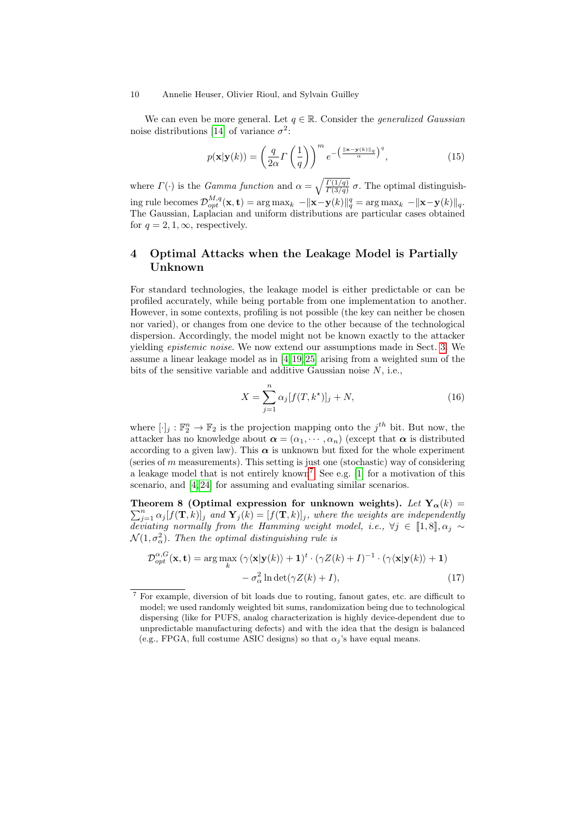We can even be more general. Let  $q \in \mathbb{R}$ . Consider the *generalized Gaussian* noise distributions [\[14\]](#page-17-11) of variance  $\sigma^2$ :

$$
p(\mathbf{x}|\mathbf{y}(k)) = \left(\frac{q}{2\alpha} \Gamma\left(\frac{1}{q}\right)\right)^m e^{-\left(\frac{\|\mathbf{x} - \mathbf{y}(k)\|_q}{\alpha}\right)^q},\tag{15}
$$

where  $\Gamma(\cdot)$  is the *Gamma function* and  $\alpha = \sqrt{\frac{\Gamma(1/q)}{\Gamma(3/q)}} \sigma$ . The optimal distinguish- $\begin{aligned} \log\mathrm{rule\;beam} = \log\mathrm{rule}\ \log\mathrm{max}_k \ -\|\mathbf{x}-\mathbf{y}(k)\|_q^q = \arg\max_k \ -\|\mathbf{x}-\mathbf{y}(k)\|_q. \end{aligned}$ The Gaussian, Laplacian and uniform distributions are particular cases obtained for  $q = 2, 1, \infty$ , respectively.

# <span id="page-9-0"></span>4 Optimal Attacks when the Leakage Model is Partially Unknown

For standard technologies, the leakage model is either predictable or can be profiled accurately, while being portable from one implementation to another. However, in some contexts, profiling is not possible (the key can neither be chosen nor varied), or changes from one device to the other because of the technological dispersion. Accordingly, the model might not be known exactly to the attacker yielding epistemic noise. We now extend our assumptions made in Sect. [3.](#page-5-0) We assume a linear leakage model as in  $[4, 19, 25]$  $[4, 19, 25]$  $[4, 19, 25]$  arising from a weighted sum of the bits of the sensitive variable and additive Gaussian noise N, i.e.,

<span id="page-9-2"></span>
$$
X = \sum_{j=1}^{n} \alpha_j [f(T, k^*)]_j + N,
$$
\n(16)

where  $[\cdot]_j : \mathbb{F}_2^n \to \mathbb{F}_2$  is the projection mapping onto the  $j^{th}$  bit. But now, the attacker has no knowledge about  $\boldsymbol{\alpha} = (\alpha_1, \cdots, \alpha_n)$  (except that  $\boldsymbol{\alpha}$  is distributed according to a given law). This  $\alpha$  is unknown but fixed for the whole experiment (series of  $m$  measurements). This setting is just one (stochastic) way of considering a leakage model that is not entirely known<sup>[7](#page-9-1)</sup>. See e.g. [\[1\]](#page-16-5) for a motivation of this scenario, and [\[4,](#page-16-0) [24\]](#page-18-0) for assuming and evaluating similar scenarios.

Theorem 8 (Optimal expression for unknown weights). Let  $Y_{\alpha}(k) =$  $\sum_{j=1}^n \alpha_j [f(\mathbf{T}, k)]_j$  and  $\mathbf{Y}_j(k) = [f(\mathbf{T}, k)]_j$ , where the weights are independently deviating normally from the Hamming weight model, i.e.,  $\forall j \in [1,8], \alpha_j \sim$  $\mathcal{N}(1, \sigma_{\alpha}^2)$ . Then the optimal distinguishing rule is

$$
\mathcal{D}_{opt}^{\alpha, G}(\mathbf{x}, \mathbf{t}) = \arg \max_{k} \left( \gamma \langle \mathbf{x} | \mathbf{y}(k) \rangle + \mathbf{1} \right)^{t} \cdot \left( \gamma Z(k) + I \right)^{-1} \cdot \left( \gamma \langle \mathbf{x} | \mathbf{y}(k) \rangle + \mathbf{1} \right) - \sigma_{\alpha}^{2} \ln \det(\gamma Z(k) + I), \tag{17}
$$

<span id="page-9-1"></span><sup>7</sup> For example, diversion of bit loads due to routing, fanout gates, etc. are difficult to model; we used randomly weighted bit sums, randomization being due to technological dispersing (like for PUFS, analog characterization is highly device-dependent due to unpredictable manufacturing defects) and with the idea that the design is balanced (e.g., FPGA, full costume ASIC designs) so that  $\alpha_j$ 's have equal means.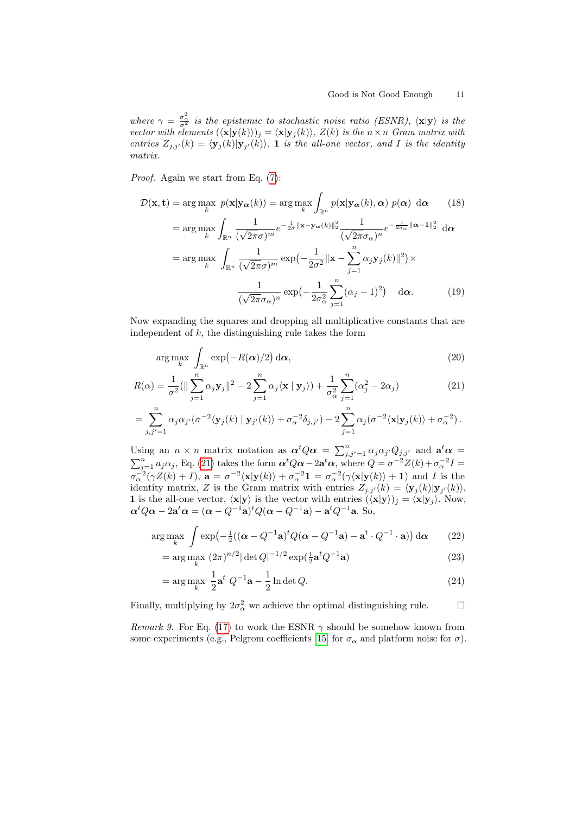where  $\gamma = \frac{\sigma_{\alpha}^2}{\sigma^2}$  is the epistemic to stochastic noise ratio (ESNR),  $\langle \mathbf{x} | \mathbf{y} \rangle$  is the vector with elements  $(\langle \mathbf{x} | \mathbf{y}(k) \rangle)_j = \langle \mathbf{x} | \mathbf{y}_j (k) \rangle$ ,  $Z(k)$  is the  $n \times n$  Gram matrix with entries  $Z_{j,j'}(k) = \langle y_j(k)|y_{j'}(k) \rangle$ , 1 is the all-one vector, and I is the identity matrix.

Proof. Again we start from Eq. [\(7\)](#page-5-2):

$$
\mathcal{D}(\mathbf{x}, \mathbf{t}) = \arg \max_{k} \ p(\mathbf{x} | \mathbf{y}_{\alpha}(k)) = \arg \max_{k} \int_{\mathbb{R}^{n}} p(\mathbf{x} | \mathbf{y}_{\alpha}(k), \alpha) \ p(\alpha) \ d\alpha \qquad (18)
$$

$$
= \arg \max_{k} \int_{\mathbb{R}^{n}} \frac{1}{(\sqrt{2\pi}\sigma)^{m}} e^{-\frac{1}{2\sigma} ||\mathbf{x} - \mathbf{y}_{\alpha}(k)||_{2}^{2}} \frac{1}{(\sqrt{2\pi}\sigma_{\alpha})^{n}} e^{-\frac{1}{2\sigma_{\alpha}} ||\alpha - 1||_{2}^{2}} \ d\alpha
$$

$$
= \arg \max_{k} \int_{\mathbb{R}^{n}} \frac{1}{(\sqrt{2\pi}\sigma)^{m}} \exp\left(-\frac{1}{2\sigma^{2}} ||\mathbf{x} - \sum_{j=1}^{n} \alpha_{j} \mathbf{y}_{j}(k)||^{2}\right) \times
$$

$$
\frac{1}{(\sqrt{2\pi}\sigma_{\alpha})^{n}} \exp\left(-\frac{1}{2\sigma_{\alpha}^{2}} \sum_{j=1}^{n} (\alpha_{j} - 1)^{2}\right) \ d\alpha. \qquad (19)
$$

Now expanding the squares and dropping all multiplicative constants that are independent of  $k$ , the distinguishing rule takes the form

<span id="page-10-0"></span>
$$
\arg\max_{k} \int_{\mathbb{R}^n} \exp(-R(\boldsymbol{\alpha})/2) \, \mathrm{d}\boldsymbol{\alpha},\tag{20}
$$

$$
R(\alpha) = \frac{1}{\sigma^2} \left( \|\sum_{j=1}^n \alpha_j \mathbf{y}_j\|^2 - 2\sum_{j=1}^n \alpha_j \langle \mathbf{x} \mid \mathbf{y}_j \rangle \right) + \frac{1}{\sigma_\alpha^2} \sum_{j=1}^n (\alpha_j^2 - 2\alpha_j)
$$
(21)

$$
= \sum_{j,j'=1}^n \alpha_j \alpha_{j'} (\sigma^{-2} \langle \mathbf{y}_j(k) | \mathbf{y}_{j'}(k) \rangle + \sigma_{\alpha}^{-2} \delta_{j,j'} ) - 2 \sum_{j=1}^n \alpha_j (\sigma^{-2} \langle \mathbf{x} | \mathbf{y}_j(k) \rangle + \sigma_{\alpha}^{-2} ).
$$

Using an  $n \times n$  matrix notation as  $\alpha^t Q \alpha = \sum_{j,j'=1}^n \alpha_j \alpha_{j'} Q_{j,j'}$  and  $\mathbf{a}^t \alpha =$  $\sum_{j=1}^n a_j \alpha_j$ , Eq. [\(21\)](#page-10-0) takes the form  $\alpha^t Q \alpha - 2a^t \alpha$ , where  $Q = \sigma^{-2} Z(k) + \sigma_{\alpha}^{-2} I =$  $\sigma_\alpha^{-2}(\gamma Z(k)+I)$ ,  $\mathbf{a} = \sigma^{-2}\langle \mathbf{x} | \mathbf{y}(k) \rangle + \sigma_\alpha^{-2} \mathbf{1} = \sigma_\alpha^{-2}(\gamma \langle \mathbf{x} | \mathbf{y}(k) \rangle + \mathbf{1})$  and I is the identity matrix, Z is the Gram matrix with entries  $Z_{j,j'}(k) = \langle \mathbf{y}_j(k)|\mathbf{y}_{j'}(k)\rangle$ , 1 is the all-one vector,  $\langle \mathbf{x} | \mathbf{y} \rangle$  is the vector with entries  $(\langle \mathbf{x} | \mathbf{y} \rangle)_j = \langle \mathbf{x} | \mathbf{y}_j \rangle$ . Now,  $\alpha^t Q \alpha - 2 \mathbf{a}^t \alpha = (\alpha - Q^{-1} \mathbf{a})^t Q (\alpha - Q^{-1} \mathbf{a}) - \mathbf{a}^t Q^{-1} \mathbf{a}$ . So,

$$
\arg\max_{k} \int \exp\left(-\frac{1}{2}((\boldsymbol{\alpha} - Q^{-1}\mathbf{a})^{t}Q(\boldsymbol{\alpha} - Q^{-1}\mathbf{a}) - \mathbf{a}^{t} \cdot Q^{-1} \cdot \mathbf{a})\right) d\boldsymbol{\alpha}
$$
 (22)

$$
= \arg\max_{k} (2\pi)^{n/2} |\det Q|^{-1/2} \exp(\frac{1}{2} \mathbf{a}^t Q^{-1} \mathbf{a}) \tag{23}
$$

$$
= \arg\max_{k} \frac{1}{2} \mathbf{a}^{t} Q^{-1} \mathbf{a} - \frac{1}{2} \ln \det Q.
$$
 (24)

Finally, multiplying by  $2\sigma_\alpha^2$  we achieve the optimal distinguishing rule.

Remark 9. For Eq. [\(17\)](#page-9-2) to work the ESNR  $\gamma$  should be somehow known from some experiments (e.g., Pelgrom coefficients [\[15\]](#page-17-12) for  $\sigma_{\alpha}$  and platform noise for  $\sigma$ ).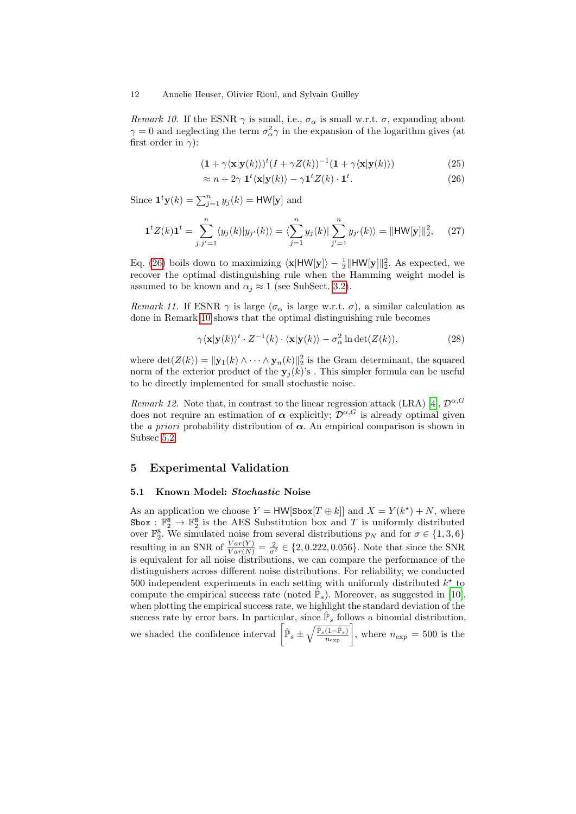<span id="page-11-2"></span>*Remark 10.* If the ESNR  $\gamma$  is small, i.e.,  $\sigma_{\alpha}$  is small w.r.t.  $\sigma$ , expanding about  $\gamma = 0$  and neglecting the term  $\sigma_{\alpha}^2 \gamma$  in the expansion of the logarithm gives (at first order in  $\gamma$ ):

$$
(1 + \gamma \langle \mathbf{x} | \mathbf{y}(k) \rangle)^t (I + \gamma Z(k))^{-1} (1 + \gamma \langle \mathbf{x} | \mathbf{y}(k) \rangle)
$$
 (25)

<span id="page-11-1"></span>
$$
\approx n + 2\gamma \mathbf{1}^t \langle \mathbf{x} | \mathbf{y}(k) \rangle - \gamma \mathbf{1}^t Z(k) \cdot \mathbf{1}^t. \tag{26}
$$

Since  $\mathbf{1}^t \mathbf{y}(k) = \sum_{j=1}^n y_j(k) = \text{HW}[\mathbf{y}]$  and

$$
\mathbf{1}^{t}Z(k)\mathbf{1}^{t} = \sum_{j,j'=1}^{n} \langle y_{j}(k)|y_{j'}(k)\rangle = \langle \sum_{j=1}^{n} y_{j}(k)|\sum_{j'=1}^{n} y_{j'}(k)\rangle = ||HW[\mathbf{y}]||_{2}^{2}, \quad (27)
$$

Eq. [\(26\)](#page-11-1) boils down to maximizing  $\langle \mathbf{x} | H W[\mathbf{y}] \rangle - \frac{1}{2} ||HW[\mathbf{y}]||_2^2$ . As expected, we recover the optimal distinguishing rule when the Hamming weight model is assumed to be known and  $\alpha_i \approx 1$  (see SubSect. [3.2\)](#page-6-4).

Remark 11. If ESNR  $\gamma$  is large ( $\sigma_{\alpha}$  is large w.r.t.  $\sigma$ ), a similar calculation as done in Remark [10](#page-11-2) shows that the optimal distinguishing rule becomes

$$
\gamma \langle \mathbf{x} | \mathbf{y}(k) \rangle^{t} \cdot Z^{-1}(k) \cdot \langle \mathbf{x} | \mathbf{y}(k) \rangle - \sigma_{\alpha}^{2} \ln \det(Z(k)), \qquad (28)
$$

where  $\det(Z(k)) = ||\mathbf{y}_1(k) \wedge \cdots \wedge \mathbf{y}_n(k)||_2^2$  is the Gram determinant, the squared norm of the exterior product of the  $y_i(k)$ 's. This simpler formula can be useful to be directly implemented for small stochastic noise.

Remark 12. Note that, in contrast to the linear regression attack (LRA) [\[4\]](#page-16-0),  $\mathcal{D}^{\alpha,G}$ does not require an estimation of  $\alpha$  explicitly;  $\mathcal{D}^{\alpha,G}$  is already optimal given the *a priori* probability distribution of  $\alpha$ . An empirical comparison is shown in Subsec [5.2.](#page-12-0)

# <span id="page-11-0"></span>5 Experimental Validation

### 5.1 Known Model: Stochastic Noise

As an application we choose  $Y = HW[$ Sbox $[T \oplus k]]$  and  $X = Y(k^*) + N$ , where Sbox:  $\mathbb{F}_2^8 \to \mathbb{F}_2^8$  is the AES Substitution box and T is uniformly distributed over  $\mathbb{F}_2^8$ . We simulated noise from several distributions  $p_N$  and for  $\sigma \in \{1,3,6\}$ resulting in an SNR of  $\frac{Var(Y)}{Var(N)} = \frac{2}{\sigma^2} \in \{2, 0.222, 0.056\}$ . Note that since the SNR is equivalent for all noise distributions, we can compare the performance of the distinguishers across different noise distributions. For reliability, we conducted 500 independent experiments in each setting with uniformly distributed  $k^*$  to compute the empirical success rate (noted  $\tilde{\mathbb{P}}_s$ ). Moreover, as suggested in [\[10\]](#page-17-13), when plotting the empirical success rate, we highlight the standard deviation of the success rate by error bars. In particular, since  $\hat{\mathbb{P}}_s$  follows a binomial distribution, we shaded the confidence interval  $\left[\hat{\mathbb{P}}_s \pm \sqrt{\frac{\hat{\mathbb{P}}_s(1-\hat{\mathbb{P}}_s)}{n_{\exp}}}\right]$ , where  $n_{\exp} = 500$  is the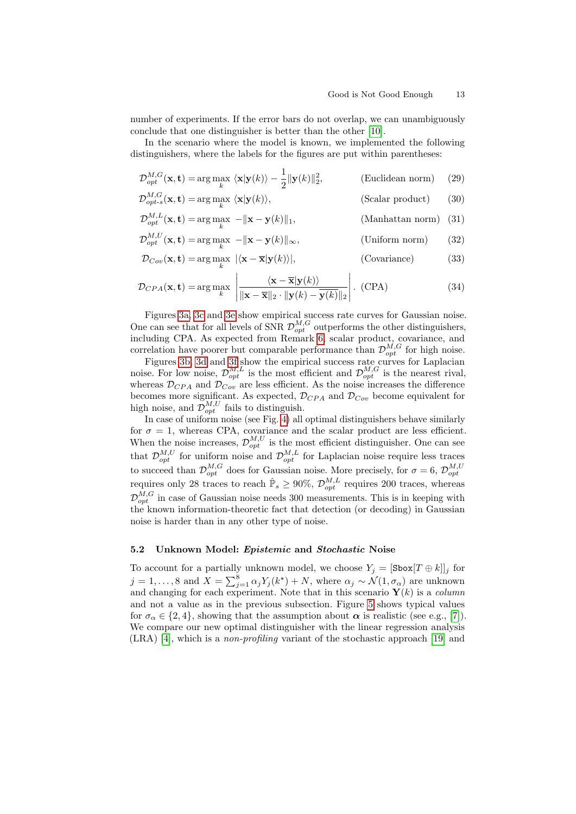number of experiments. If the error bars do not overlap, we can unambiguously conclude that one distinguisher is better than the other [\[10\]](#page-17-13).

In the scenario where the model is known, we implemented the following distinguishers, where the labels for the figures are put within parentheses:

$$
\mathcal{D}_{opt}^{M,G}(\mathbf{x}, \mathbf{t}) = \arg \max_{k} \langle \mathbf{x} | \mathbf{y}(k) \rangle - \frac{1}{2} \| \mathbf{y}(k) \|_{2}^{2}, \qquad \text{(Euclidean norm)} \quad (29)
$$
  

$$
\mathcal{D}_{opt-s}^{M,G}(\mathbf{x}, \mathbf{t}) = \arg \max_{k} \langle \mathbf{x} | \mathbf{y}(k) \rangle, \qquad \text{(Scalar product)} \quad (30)
$$

$$
\mathcal{D}_{opt}^{M,L}(\mathbf{x}, \mathbf{t}) = \arg \max_{k} \ -\|\mathbf{x} - \mathbf{y}(k)\|_{1},
$$
 (Manhattan norm) (31)

$$
\mathcal{D}_{opt}^{M,U}(\mathbf{x}, \mathbf{t}) = \arg \max_{k} \ -\|\mathbf{x} - \mathbf{y}(k)\|_{\infty}, \tag{32}
$$

$$
\mathcal{D}_{Cov}(\mathbf{x}, \mathbf{t}) = \arg \max_{k} \ |\langle \mathbf{x} - \overline{\mathbf{x}} | \mathbf{y}(k) \rangle|, \tag{33}
$$

$$
\mathcal{D}_{CPA}(\mathbf{x}, \mathbf{t}) = \arg \max_{k} \left| \frac{\langle \mathbf{x} - \overline{\mathbf{x}} | \mathbf{y}(k) \rangle}{\|\mathbf{x} - \overline{\mathbf{x}}\|_2 \cdot \|\mathbf{y}(k) - \overline{\mathbf{y}(k)}\|_2} \right|.
$$
 (CPA) (34)

Figures [3a, 3c](#page-13-0) and [3e](#page-13-0) show empirical success rate curves for Gaussian noise. One can see that for all levels of SNR  $\mathcal{D}_{opt}^{M,G}$  outperforms the other distinguishers, including CPA. As expected from Remark [6,](#page-6-2) scalar product, covariance, and correlation have poorer but comparable performance than  $\mathcal{D}_{opt}^{M, G}$  for high noise.

Figures [3b, 3d](#page-13-0) and [3f](#page-13-0) show the empirical success rate curves for Laplacian noise. For low noise,  $\mathcal{D}_{opt}^{M,L}$  is the most efficient and  $\mathcal{D}_{opt}^{M,G}$  is the nearest rival, whereas  $\mathcal{D}_{CPA}$  and  $\mathcal{D}_{Cov}$  are less efficient. As the noise increases the difference becomes more significant. As expected,  $\mathcal{D}_{CPA}$  and  $\mathcal{D}_{Cov}$  become equivalent for high noise, and  $\mathcal{D}_{opt}^{M,U}$  fails to distinguish.

In case of uniform noise (see Fig. [4\)](#page-14-0) all optimal distinguishers behave similarly for  $\sigma = 1$ , whereas CPA, covariance and the scalar product are less efficient. When the noise increases,  $\mathcal{D}_{opt}^{M,U}$  is the most efficient distinguisher. One can see that  $\mathcal{D}_{opt}^{M,U}$  for uniform noise and  $\mathcal{D}_{opt}^{M,L}$  for Laplacian noise require less traces to succeed than  $\mathcal{D}_{opt}^{M,G}$  does for Gaussian noise. More precisely, for  $\sigma = 6$ ,  $\mathcal{D}_{opt}^{M,U}$ <br>requires only 28 traces to reach  $\hat{\mathbb{P}}_s \ge 90\%$ ,  $\mathcal{D}_{opt}^{M,L}$  requires 200 traces, whereas  $\mathcal{D}_{opt}^{M,G}$  in case of Gaussian noise needs 300 measurements. This is in keeping with the known information-theoretic fact that detection (or decoding) in Gaussian noise is harder than in any other type of noise.

#### <span id="page-12-0"></span>5.2 Unknown Model: Epistemic and Stochastic Noise

To account for a partially unknown model, we choose  $Y_i = [\texttt{Sbox}[T \oplus k]]_i$  for  $j=1,\ldots,8$  and  $X=\sum_{j=1}^8 \alpha_j Y_j(k^{\star})+N$ , where  $\alpha_j \sim \mathcal{N}(1,\sigma_{\alpha})$  are unknown and changing for each experiment. Note that in this scenario  $\mathbf{Y}(k)$  is a *column* and not a value as in the previous subsection. Figure [5](#page-14-1) shows typical values for  $\sigma_{\alpha} \in \{2, 4\}$ , showing that the assumption about  $\alpha$  is realistic (see e.g., [\[7\]](#page-17-14)). We compare our new optimal distinguisher with the linear regression analysis (LRA) [\[4\]](#page-16-0), which is a non-profiling variant of the stochastic approach [\[19\]](#page-17-9) and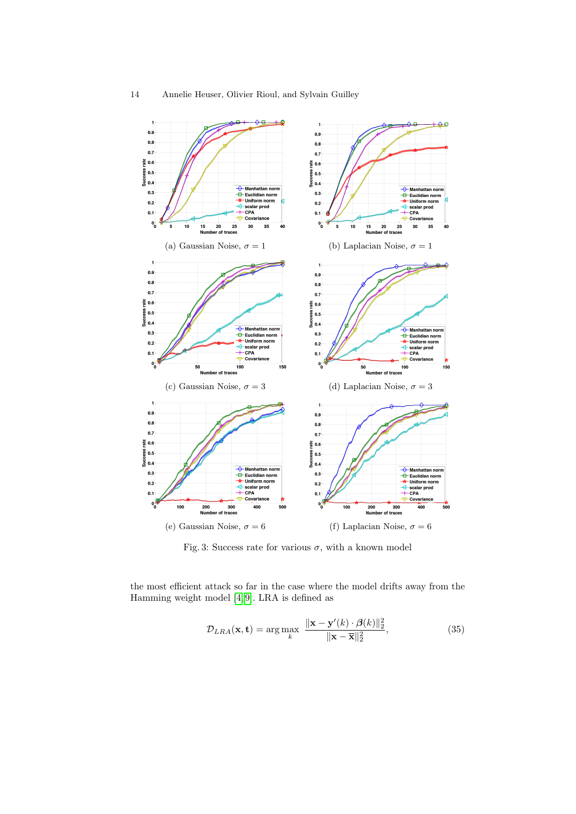<span id="page-13-0"></span>

Fig. 3: Success rate for various  $\sigma$ , with a known model

the most efficient attack so far in the case where the model drifts away from the Hamming weight model [\[4,](#page-16-0) [9\]](#page-17-15). LRA is defined as

<span id="page-13-1"></span>
$$
\mathcal{D}_{LRA}(\mathbf{x}, \mathbf{t}) = \arg \max_{k} \frac{\|\mathbf{x} - \mathbf{y}'(k) \cdot \mathcal{B}(k)\|_{2}^{2}}{\|\mathbf{x} - \overline{\mathbf{x}}\|_{2}^{2}},
$$
\n(35)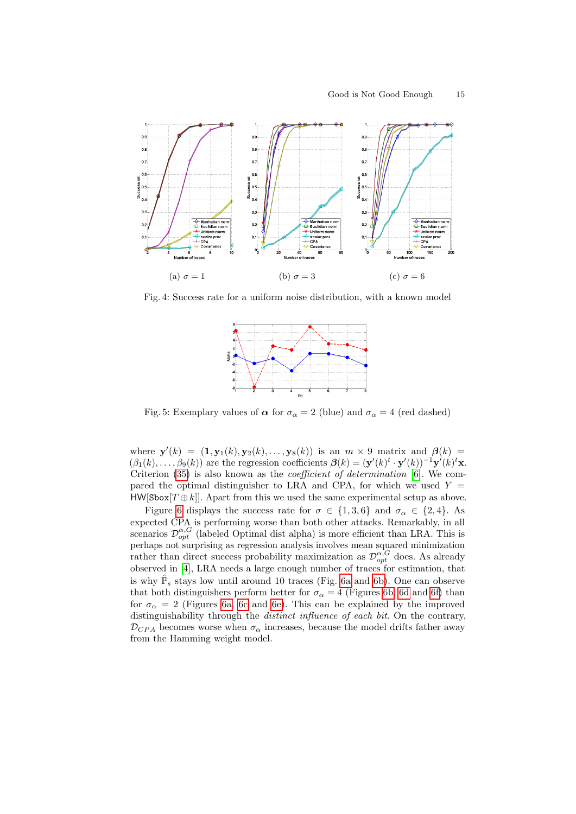<span id="page-14-0"></span>

<span id="page-14-1"></span>Fig. 4: Success rate for a uniform noise distribution, with a known model



Fig. 5: Exemplary values of  $\alpha$  for  $\sigma_{\alpha} = 2$  (blue) and  $\sigma_{\alpha} = 4$  (red dashed)

where  $\mathbf{y}'(k) = (1, \mathbf{y}_1(k), \mathbf{y}_2(k), \ldots, \mathbf{y}_8(k))$  is an  $m \times 9$  matrix and  $\boldsymbol{\beta}(k) =$  $(\beta_1(k), \ldots, \beta_9(k))$  are the regression coefficients  $\boldsymbol{\beta}(k) = (\mathbf{y}'(k)^t \cdot \mathbf{y}'(k))^{-1} \mathbf{y}'(k)^t \mathbf{x}$ . Criterion  $(35)$  is also known as the *coefficient of determination* [\[6\]](#page-17-10). We compared the optimal distinguisher to LRA and CPA, for which we used  $Y =$  $HW[5\text{box}[T \oplus k]]$ . Apart from this we used the same experimental setup as above.

Figure [6](#page-15-0) displays the success rate for  $\sigma \in \{1,3,6\}$  and  $\sigma_{\alpha} \in \{2,4\}$ . As expected CPA is performing worse than both other attacks. Remarkably, in all scenarios  $\mathcal{D}_{opt}^{\alpha,G}$  (labeled Optimal dist alpha) is more efficient than LRA. This is perhaps not surprising as regression analysis involves mean squared minimization rather than direct success probability maximization as  $\mathcal{D}_{opt}^{\alpha, G}$  does. As already observed in [\[4\]](#page-16-0), LRA needs a large enough number of traces for estimation, that is why  $\hat{\mathbb{P}}_s$  stays low until around 10 traces (Fig. [6a](#page-15-0) and [6b\)](#page-15-0). One can observe that both distinguishers perform better for  $\sigma_{\alpha} = 4$  (Figures [6b, 6d](#page-15-0) and [6f\)](#page-15-0) than for  $\sigma_{\alpha} = 2$  (Figures [6a, 6c](#page-15-0) and [6e\)](#page-15-0). This can be explained by the improved distinguishability through the *distinct influence of each bit*. On the contrary,  $\mathcal{D}_{CPA}$  becomes worse when  $\sigma_{\alpha}$  increases, because the model drifts father away from the Hamming weight model.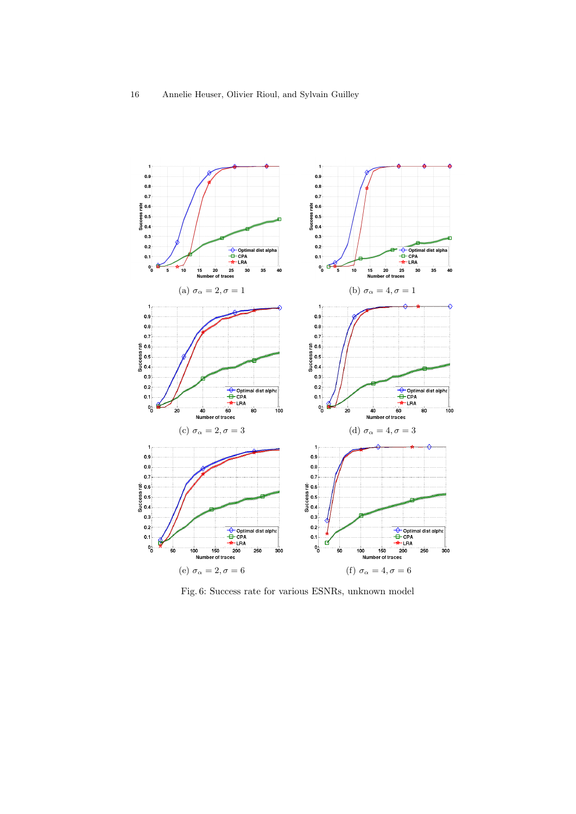<span id="page-15-0"></span>

Fig. 6: Success rate for various ESNRs, unknown model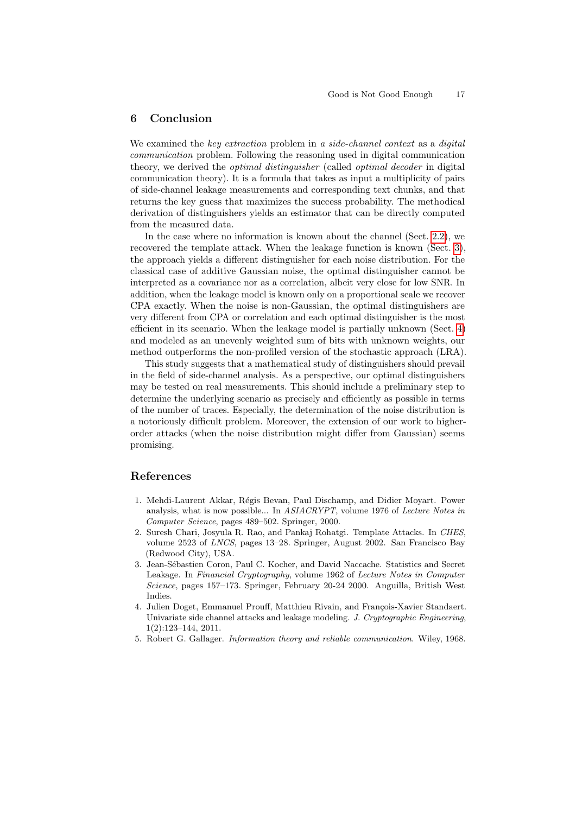### <span id="page-16-2"></span>6 Conclusion

We examined the key extraction problem in a side-channel context as a digital communication problem. Following the reasoning used in digital communication theory, we derived the optimal distinguisher (called optimal decoder in digital communication theory). It is a formula that takes as input a multiplicity of pairs of side-channel leakage measurements and corresponding text chunks, and that returns the key guess that maximizes the success probability. The methodical derivation of distinguishers yields an estimator that can be directly computed from the measured data.

In the case where no information is known about the channel (Sect. [2.2\)](#page-3-2), we recovered the template attack. When the leakage function is known (Sect. [3\)](#page-5-0), the approach yields a different distinguisher for each noise distribution. For the classical case of additive Gaussian noise, the optimal distinguisher cannot be interpreted as a covariance nor as a correlation, albeit very close for low SNR. In addition, when the leakage model is known only on a proportional scale we recover CPA exactly. When the noise is non-Gaussian, the optimal distinguishers are very different from CPA or correlation and each optimal distinguisher is the most efficient in its scenario. When the leakage model is partially unknown (Sect. [4\)](#page-9-0) and modeled as an unevenly weighted sum of bits with unknown weights, our method outperforms the non-profiled version of the stochastic approach (LRA).

This study suggests that a mathematical study of distinguishers should prevail in the field of side-channel analysis. As a perspective, our optimal distinguishers may be tested on real measurements. This should include a preliminary step to determine the underlying scenario as precisely and efficiently as possible in terms of the number of traces. Especially, the determination of the noise distribution is a notoriously difficult problem. Moreover, the extension of our work to higherorder attacks (when the noise distribution might differ from Gaussian) seems promising.

### References

- <span id="page-16-5"></span>1. Mehdi-Laurent Akkar, Régis Bevan, Paul Dischamp, and Didier Moyart. Power analysis, what is now possible... In ASIACRYPT, volume 1976 of Lecture Notes in Computer Science, pages 489–502. Springer, 2000.
- <span id="page-16-3"></span>2. Suresh Chari, Josyula R. Rao, and Pankaj Rohatgi. Template Attacks. In CHES, volume 2523 of LNCS, pages 13–28. Springer, August 2002. San Francisco Bay (Redwood City), USA.
- <span id="page-16-4"></span>3. Jean-Sébastien Coron, Paul C. Kocher, and David Naccache. Statistics and Secret Leakage. In Financial Cryptography, volume 1962 of Lecture Notes in Computer Science, pages 157–173. Springer, February 20-24 2000. Anguilla, British West Indies.
- <span id="page-16-0"></span>4. Julien Doget, Emmanuel Prouff, Matthieu Rivain, and François-Xavier Standaert. Univariate side channel attacks and leakage modeling. J. Cryptographic Engineering, 1(2):123–144, 2011.
- <span id="page-16-1"></span>5. Robert G. Gallager. Information theory and reliable communication. Wiley, 1968.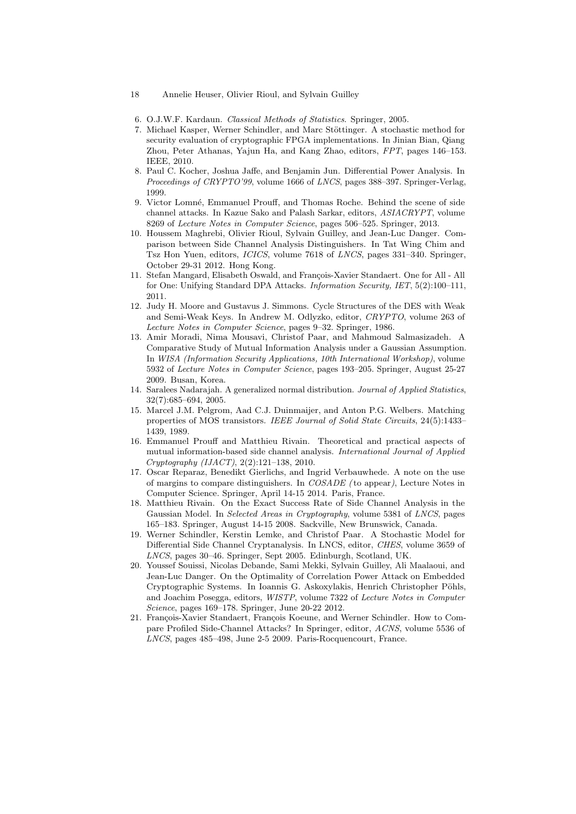- 18 Annelie Heuser, Olivier Rioul, and Sylvain Guilley
- <span id="page-17-10"></span>6. O.J.W.F. Kardaun. Classical Methods of Statistics. Springer, 2005.
- <span id="page-17-14"></span>7. Michael Kasper, Werner Schindler, and Marc Stöttinger. A stochastic method for security evaluation of cryptographic FPGA implementations. In Jinian Bian, Qiang Zhou, Peter Athanas, Yajun Ha, and Kang Zhao, editors, FPT, pages 146–153. IEEE, 2010.
- <span id="page-17-8"></span>8. Paul C. Kocher, Joshua Jaffe, and Benjamin Jun. Differential Power Analysis. In Proceedings of CRYPTO'99, volume 1666 of LNCS, pages 388–397. Springer-Verlag, 1999.
- <span id="page-17-15"></span>9. Victor Lomn´e, Emmanuel Prouff, and Thomas Roche. Behind the scene of side channel attacks. In Kazue Sako and Palash Sarkar, editors, ASIACRYPT, volume 8269 of Lecture Notes in Computer Science, pages 506–525. Springer, 2013.
- <span id="page-17-13"></span>10. Houssem Maghrebi, Olivier Rioul, Sylvain Guilley, and Jean-Luc Danger. Comparison between Side Channel Analysis Distinguishers. In Tat Wing Chim and Tsz Hon Yuen, editors, ICICS, volume 7618 of LNCS, pages 331–340. Springer, October 29-31 2012. Hong Kong.
- <span id="page-17-0"></span>11. Stefan Mangard, Elisabeth Oswald, and François-Xavier Standaert. One for All - All for One: Unifying Standard DPA Attacks. Information Security, IET, 5(2):100–111, 2011.
- <span id="page-17-6"></span>12. Judy H. Moore and Gustavus J. Simmons. Cycle Structures of the DES with Weak and Semi-Weak Keys. In Andrew M. Odlyzko, editor, CRYPTO, volume 263 of Lecture Notes in Computer Science, pages 9–32. Springer, 1986.
- <span id="page-17-7"></span>13. Amir Moradi, Nima Mousavi, Christof Paar, and Mahmoud Salmasizadeh. A Comparative Study of Mutual Information Analysis under a Gaussian Assumption. In WISA (Information Security Applications, 10th International Workshop), volume 5932 of Lecture Notes in Computer Science, pages 193–205. Springer, August 25-27 2009. Busan, Korea.
- <span id="page-17-11"></span>14. Saralees Nadarajah. A generalized normal distribution. Journal of Applied Statistics, 32(7):685–694, 2005.
- <span id="page-17-12"></span>15. Marcel J.M. Pelgrom, Aad C.J. Duinmaijer, and Anton P.G. Welbers. Matching properties of MOS transistors. IEEE Journal of Solid State Circuits, 24(5):1433– 1439, 1989.
- <span id="page-17-2"></span>16. Emmanuel Prouff and Matthieu Rivain. Theoretical and practical aspects of mutual information-based side channel analysis. International Journal of Applied Cryptography (IJACT), 2(2):121–138, 2010.
- <span id="page-17-3"></span>17. Oscar Reparaz, Benedikt Gierlichs, and Ingrid Verbauwhede. A note on the use of margins to compare distinguishers. In COSADE ( to appear), Lecture Notes in Computer Science. Springer, April 14-15 2014. Paris, France.
- <span id="page-17-5"></span>18. Matthieu Rivain. On the Exact Success Rate of Side Channel Analysis in the Gaussian Model. In Selected Areas in Cryptography, volume 5381 of LNCS, pages 165–183. Springer, August 14-15 2008. Sackville, New Brunswick, Canada.
- <span id="page-17-9"></span>19. Werner Schindler, Kerstin Lemke, and Christof Paar. A Stochastic Model for Differential Side Channel Cryptanalysis. In LNCS, editor, CHES, volume 3659 of LNCS, pages 30–46. Springer, Sept 2005. Edinburgh, Scotland, UK.
- <span id="page-17-1"></span>20. Youssef Souissi, Nicolas Debande, Sami Mekki, Sylvain Guilley, Ali Maalaoui, and Jean-Luc Danger. On the Optimality of Correlation Power Attack on Embedded Cryptographic Systems. In Ioannis G. Askoxylakis, Henrich Christopher Pöhls, and Joachim Posegga, editors, WISTP, volume 7322 of Lecture Notes in Computer Science, pages 169–178. Springer, June 20-22 2012.
- <span id="page-17-4"></span>21. François-Xavier Standaert, François Koeune, and Werner Schindler. How to Compare Profiled Side-Channel Attacks? In Springer, editor, ACNS, volume 5536 of LNCS, pages 485–498, June 2-5 2009. Paris-Rocquencourt, France.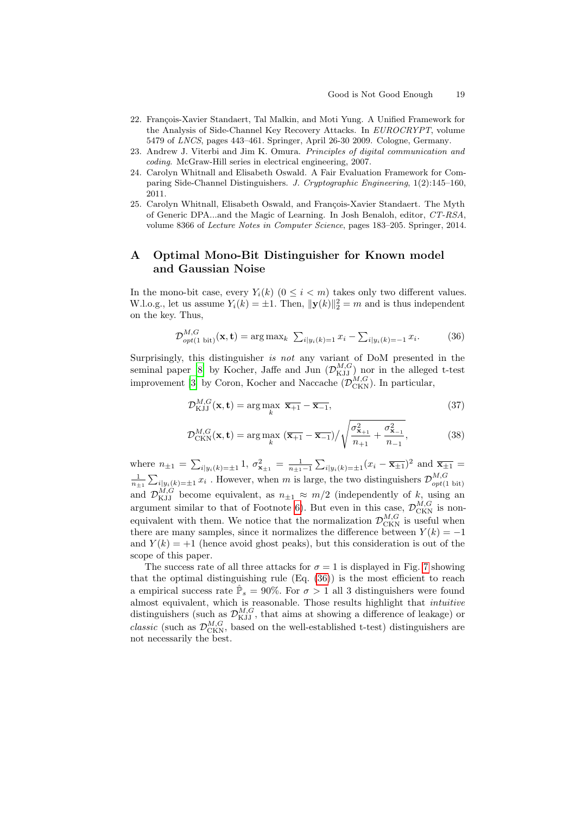- <span id="page-18-3"></span>22. François-Xavier Standaert, Tal Malkin, and Moti Yung. A Unified Framework for the Analysis of Side-Channel Key Recovery Attacks. In EUROCRYPT, volume 5479 of LNCS, pages 443–461. Springer, April 26-30 2009. Cologne, Germany.
- <span id="page-18-1"></span>23. Andrew J. Viterbi and Jim K. Omura. Principles of digital communication and coding. McGraw-Hill series in electrical engineering, 2007.
- <span id="page-18-0"></span>24. Carolyn Whitnall and Elisabeth Oswald. A Fair Evaluation Framework for Comparing Side-Channel Distinguishers. J. Cryptographic Engineering, 1(2):145–160, 2011.
- <span id="page-18-2"></span>25. Carolyn Whitnall, Elisabeth Oswald, and François-Xavier Standaert. The Myth of Generic DPA...and the Magic of Learning. In Josh Benaloh, editor, CT-RSA, volume 8366 of Lecture Notes in Computer Science, pages 183–205. Springer, 2014.

# <span id="page-18-4"></span>A Optimal Mono-Bit Distinguisher for Known model and Gaussian Noise

In the mono-bit case, every  $Y_i(k)$   $(0 \leq i \leq m)$  takes only two different values. W.l.o.g., let us assume  $Y_i(k) = \pm 1$ . Then,  $||\mathbf{y}(k)||_2^2 = m$  and is thus independent on the key. Thus,

$$
\mathcal{D}_{opt(1 \text{ bit})}^{M,G}(\mathbf{x}, \mathbf{t}) = \arg \max_{k} \ \sum_{i|y_i(k)=1} x_i - \sum_{i|y_i(k)=-1} x_i. \tag{36}
$$

Surprisingly, this distinguisher is not any variant of DoM presented in the seminal paper [\[8\]](#page-17-8) by Kocher, Jaffe and Jun  $(\mathcal{D}_{KJJ}^{M,G})$  nor in the alleged t-test improvement [\[3\]](#page-16-4) by Coron, Kocher and Naccache ( $\mathcal{D}_{\text{CKN}}^{M,G}$ ). In particular,

<span id="page-18-5"></span>
$$
\mathcal{D}_{\text{KJJ}}^{M,G}(\mathbf{x}, \mathbf{t}) = \arg \max_{k} \overline{\mathbf{x}_{+1}} - \overline{\mathbf{x}_{-1}},
$$
\n(37)

$$
\mathcal{D}_{\text{CKN}}^{M,G}(\mathbf{x}, \mathbf{t}) = \arg \max_{k} \left( \overline{\mathbf{x}_{+1}} - \overline{\mathbf{x}_{-1}} \right) / \sqrt{\frac{\sigma_{\mathbf{x}_{+1}}^2}{n_{+1}} + \frac{\sigma_{\mathbf{x}_{-1}}^2}{n_{-1}}},\tag{38}
$$

where  $n_{\pm 1} = \sum_{i|y_i(k)=\pm 1} 1$ ,  $\sigma_{\mathbf{x}_{\pm 1}}^2 = \frac{1}{n_{\pm 1}-1} \sum_{i|y_i(k)=\pm 1} (x_i - \overline{\mathbf{x}_{\pm 1}})^2$  and  $\overline{\mathbf{x}_{\pm 1}} =$  $\frac{1}{n_{\pm 1}}\sum_{i|y_i(k)=\pm 1}x_i$ . However, when m is large, the two distinguishers  $\mathcal{D}_{opt(1)}^{M, G}$  $opt(1 \text{ bit})$ and  $\mathcal{D}_{\text{KJJ}}^{M,G}$  become equivalent, as  $n_{\pm 1} \approx m/2$  (independently of k, using an argument similar to that of Footnote [6\)](#page-6-1). But even in this case,  $\mathcal{D}_{\text{CKN}}^{M,G}$  is nonequivalent with them. We notice that the normalization  $\mathcal{D}_{\text{CKN}}^{M,G}$  is useful when there are many samples, since it normalizes the difference between  $Y(k) = -1$ and  $Y(k) = +1$  (hence avoid ghost peaks), but this consideration is out of the scope of this paper.

The success rate of all three attacks for  $\sigma = 1$  is displayed in Fig. [7](#page-19-1) showing that the optimal distinguishing rule (Eq. [\(36\)](#page-18-5)) is the most efficient to reach a empirical success rate  $\hat{\mathbb{P}}_s = 90\%$ . For  $\sigma > 1$  all 3 distinguishers were found almost equivalent, which is reasonable. Those results highlight that *intuitive* distinguishers (such as  $\mathcal{D}_{KJJ}^{M,G}$ , that aims at showing a difference of leakage) or *classic* (such as  $\mathcal{D}_{CKN}^{M,G}$ , based on the well-established t-test) distinguishers are not necessarily the best.